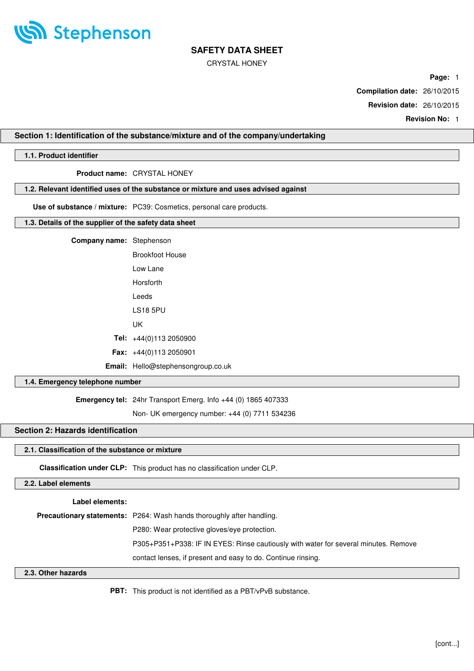

CRYSTAL HONEY

**Page:** 1

**Compilation date:** 26/10/2015

**Revision date:** 26/10/2015

**Revision No:** 1

### **Section 1: Identification of the substance/mixture and of the company/undertaking**

### **1.1. Product identifier**

**Product name:** CRYSTAL HONEY

### **1.2. Relevant identified uses of the substance or mixture and uses advised against**

**Use of substance / mixture:** PC39: Cosmetics, personal care products.

#### **1.3. Details of the supplier of the safety data sheet**

| <b>Company name:</b> Stephenson |                                           |
|---------------------------------|-------------------------------------------|
|                                 | <b>Brookfoot House</b>                    |
|                                 | lowlane                                   |
|                                 | Horsforth                                 |
|                                 | I eeds                                    |
|                                 | LS18 5PU                                  |
|                                 | UΚ                                        |
|                                 | <b>Tel:</b> $+44(0)1132050900$            |
|                                 | <b>Fax:</b> $+44(0)1132050901$            |
|                                 | <b>Email:</b> Hello@stephensongroup.co.uk |
|                                 |                                           |

#### **1.4. Emergency telephone number**

**Emergency tel:** 24hr Transport Emerg. Info +44 (0) 1865 407333

Non- UK emergency number: +44 (0) 7711 534236

### **Section 2: Hazards identification**

## **2.1. Classification of the substance or mixture**

**Classification under CLP:** This product has no classification under CLP.

### **2.2. Label elements**

#### **Label elements:**

**Precautionary statements:** P264: Wash hands thoroughly after handling.

P280: Wear protective gloves/eye protection.

P305+P351+P338: IF IN EYES: Rinse cautiously with water for several minutes. Remove

contact lenses, if present and easy to do. Continue rinsing.

### **2.3. Other hazards**

**PBT:** This product is not identified as a PBT/vPvB substance.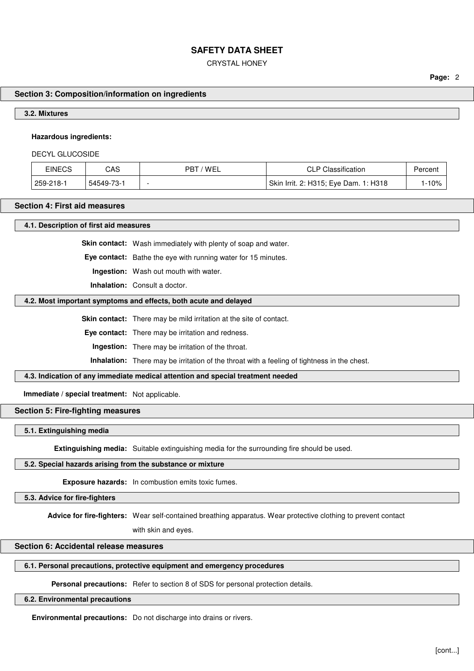CRYSTAL HONEY

**Page:** 2

### **Section 3: Composition/information on ingredients**

#### **3.2. Mixtures**

#### **Hazardous ingredients:**

DECYL GLUCOSIDE

| EINECS    | CAS        | ' WEI<br>PB1 | <b>CLP Classification</b>             | Percent |
|-----------|------------|--------------|---------------------------------------|---------|
| 259-218-1 | 54549-73-1 |              | Skin Irrit. 2: H315; Eye Dam. 1: H318 | 10%     |

#### **Section 4: First aid measures**

**4.1. Description of first aid measures**

**Skin contact:** Wash immediately with plenty of soap and water.

**Eye contact:** Bathe the eye with running water for 15 minutes.

**Ingestion:** Wash out mouth with water.

**Inhalation:** Consult a doctor.

#### **4.2. Most important symptoms and effects, both acute and delayed**

**Skin contact:** There may be mild irritation at the site of contact.

**Eye contact:** There may be irritation and redness.

**Ingestion:** There may be irritation of the throat.

**Inhalation:** There may be irritation of the throat with a feeling of tightness in the chest.

### **4.3. Indication of any immediate medical attention and special treatment needed**

**Immediate / special treatment:** Not applicable.

#### **Section 5: Fire-fighting measures**

### **5.1. Extinguishing media**

**Extinguishing media:** Suitable extinguishing media for the surrounding fire should be used.

#### **5.2. Special hazards arising from the substance or mixture**

**Exposure hazards:** In combustion emits toxic fumes.

#### **5.3. Advice for fire-fighters**

**Advice for fire-fighters:** Wear self-contained breathing apparatus. Wear protective clothing to prevent contact

with skin and eyes.

### **Section 6: Accidental release measures**

#### **6.1. Personal precautions, protective equipment and emergency procedures**

**Personal precautions:** Refer to section 8 of SDS for personal protection details.

**6.2. Environmental precautions**

**Environmental precautions:** Do not discharge into drains or rivers.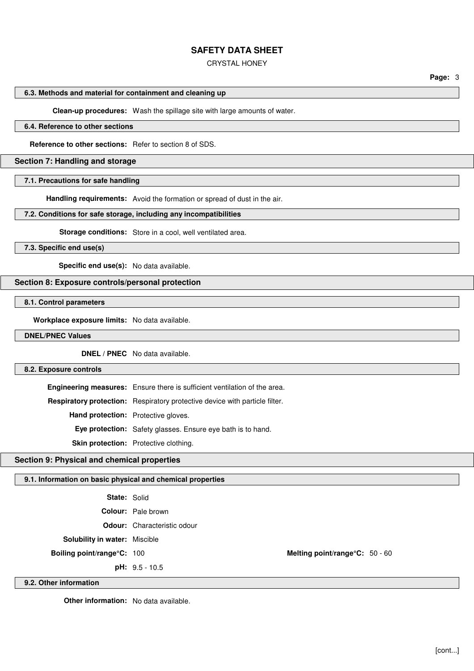#### CRYSTAL HONEY

### **6.3. Methods and material for containment and cleaning up**

**Clean-up procedures:** Wash the spillage site with large amounts of water.

### **6.4. Reference to other sections**

**Reference to other sections:** Refer to section 8 of SDS.

#### **Section 7: Handling and storage**

#### **7.1. Precautions for safe handling**

**Handling requirements:** Avoid the formation or spread of dust in the air.

### **7.2. Conditions for safe storage, including any incompatibilities**

**Storage conditions:** Store in a cool, well ventilated area.

**7.3. Specific end use(s)**

**Specific end use(s):** No data available.

### **Section 8: Exposure controls/personal protection**

**8.1. Control parameters**

**Workplace exposure limits:** No data available.

#### **DNEL/PNEC Values**

**DNEL / PNEC** No data available.

#### **8.2. Exposure controls**

**Engineering measures:** Ensure there is sufficient ventilation of the area. **Respiratory protection:** Respiratory protective device with particle filter. **Hand protection:** Protective gloves. **Eye protection:** Safety glasses. Ensure eye bath is to hand.

**Skin protection:** Protective clothing.

#### **Section 9: Physical and chemical properties**

### **9.1. Information on basic physical and chemical properties**

| <b>State: Solid</b>                  |                                    |                                |  |
|--------------------------------------|------------------------------------|--------------------------------|--|
|                                      | <b>Colour:</b> Pale brown          |                                |  |
|                                      | <b>Odour:</b> Characteristic odour |                                |  |
| <b>Solubility in water: Miscible</b> |                                    |                                |  |
| Boiling point/range°C: 100           |                                    | Melting point/range°C: 50 - 60 |  |
|                                      | <b>pH:</b> $9.5 - 10.5$            |                                |  |

#### **9.2. Other information**

**Other information:** No data available.

**Page:** 3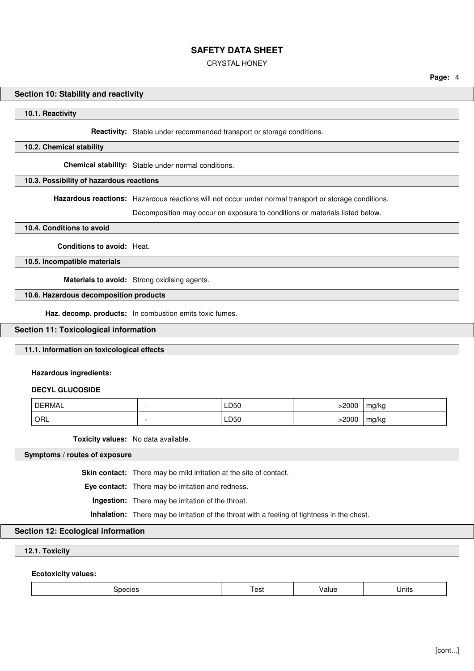CRYSTAL HONEY

#### **Section 10: Stability and reactivity**

**10.1. Reactivity**

**Reactivity:** Stable under recommended transport or storage conditions.

#### **10.2. Chemical stability**

**Chemical stability:** Stable under normal conditions.

#### **10.3. Possibility of hazardous reactions**

**Hazardous reactions:** Hazardous reactions will not occur under normal transport or storage conditions.

Decomposition may occur on exposure to conditions or materials listed below.

#### **10.4. Conditions to avoid**

**Conditions to avoid:** Heat.

**10.5. Incompatible materials**

**Materials to avoid:** Strong oxidising agents.

#### **10.6. Hazardous decomposition products**

**Haz. decomp. products:** In combustion emits toxic fumes.

### **Section 11: Toxicological information**

### **11.1. Information on toxicological effects**

#### **Hazardous ingredients:**

#### **DECYL GLUCOSIDE**

| DERMAL | LD50 | 2000 | mg/kg |
|--------|------|------|-------|
| ' ORL  | LD50 | 2000 | mg/kg |

**Toxicity values:** No data available.

### **Symptoms / routes of exposure**

**Skin contact:** There may be mild irritation at the site of contact.

**Eye contact:** There may be irritation and redness.

**Ingestion:** There may be irritation of the throat.

**Inhalation:** There may be irritation of the throat with a feeling of tightness in the chest.

### **Section 12: Ecological information**

**12.1. Toxicity**

**Ecotoxicity values:**

| species<br>- - - | Test | Value | Units |
|------------------|------|-------|-------|
|------------------|------|-------|-------|